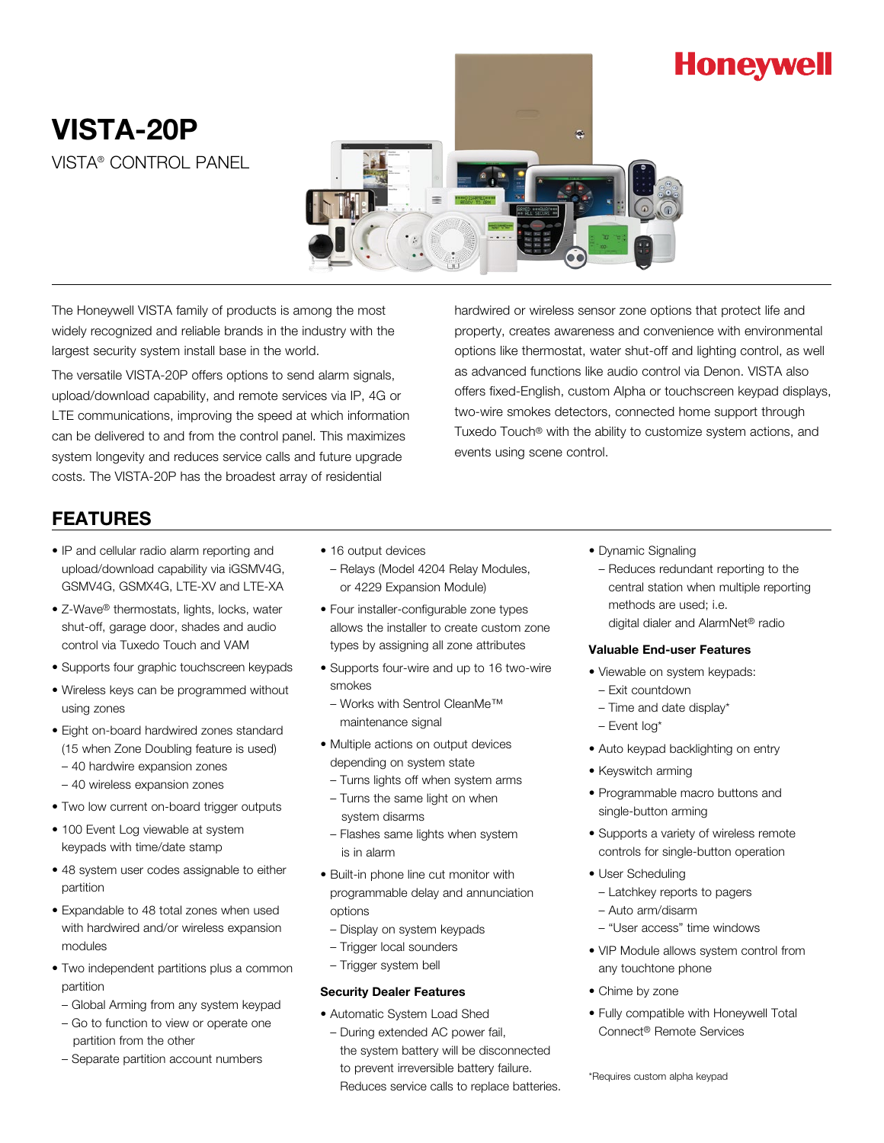# **Honeywell**

## VISTA-20P VISTA® CONTROL PANEL



The Honeywell VISTA family of products is among the most widely recognized and reliable brands in the industry with the largest security system install base in the world.

The versatile VISTA-20P offers options to send alarm signals, upload/download capability, and remote services via IP, 4G or LTE communications, improving the speed at which information can be delivered to and from the control panel. This maximizes system longevity and reduces service calls and future upgrade costs. The VISTA-20P has the broadest array of residential

hardwired or wireless sensor zone options that protect life and property, creates awareness and convenience with environmental options like thermostat, water shut-off and lighting control, as well as advanced functions like audio control via Denon. VISTA also offers fixed-English, custom Alpha or touchscreen keypad displays, two-wire smokes detectors, connected home support through Tuxedo Touch® with the ability to customize system actions, and events using scene control.

## FEATURES

- IP and cellular radio alarm reporting and upload/download capability via iGSMV4G, GSMV4G, GSMX4G, LTE-XV and LTE-XA
- Z-Wave® thermostats, lights, locks, water shut-off, garage door, shades and audio control via Tuxedo Touch and VAM
- Supports four graphic touchscreen keypads
- Wireless keys can be programmed without using zones
- Eight on-board hardwired zones standard (15 when Zone Doubling feature is used)
	- 40 hardwire expansion zones
	- 40 wireless expansion zones
- Two low current on-board trigger outputs
- 100 Event Log viewable at system keypads with time/date stamp
- 48 system user codes assignable to either partition
- Expandable to 48 total zones when used with hardwired and/or wireless expansion modules
- Two independent partitions plus a common partition
	- Global Arming from any system keypad
	- Go to function to view or operate one partition from the other
	- Separate partition account numbers
- 16 output devices – Relays (Model 4204 Relay Modules, or 4229 Expansion Module)
- Four installer-configurable zone types allows the installer to create custom zone types by assigning all zone attributes
- Supports four-wire and up to 16 two-wire smokes
- Works with Sentrol CleanMe™ maintenance signal
- Multiple actions on output devices depending on system state
- Turns lights off when system arms
- Turns the same light on when system disarms
- Flashes same lights when system is in alarm
- Built-in phone line cut monitor with programmable delay and annunciation options
- Display on system keypads
- Trigger local sounders
- Trigger system bell

### Security Dealer Features

- Automatic System Load Shed
- During extended AC power fail, the system battery will be disconnected to prevent irreversible battery failure. Reduces service calls to replace batteries.
- Dynamic Signaling
	- Reduces redundant reporting to the central station when multiple reporting methods are used; i.e. digital dialer and AlarmNet® radio

#### Valuable End-user Features

- Viewable on system keypads:
- Exit countdown
- Time and date display\*
- Event log\*
- Auto keypad backlighting on entry
- Keyswitch arming
- Programmable macro buttons and single-button arming
- Supports a variety of wireless remote controls for single-button operation
- User Scheduling
	- Latchkey reports to pagers
- Auto arm/disarm
- "User access" time windows
- VIP Module allows system control from any touchtone phone
- Chime by zone
- Fully compatible with Honeywell Total Connect® Remote Services